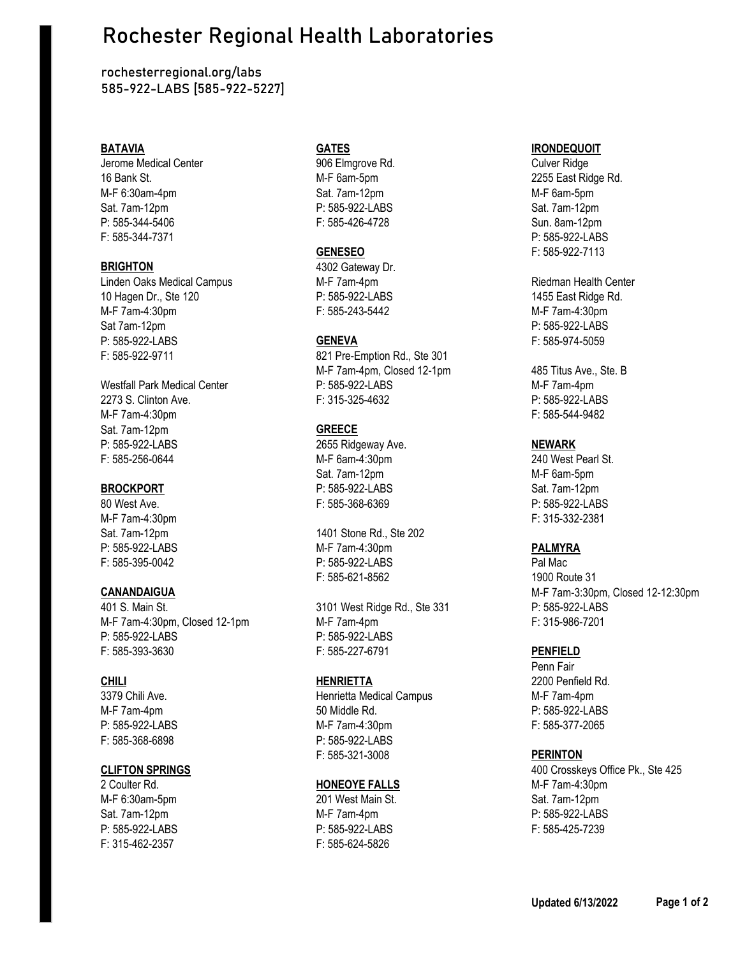# Rochester Regional Health Laboratories

rochesterregional.org/labs **585-922-LABS** [585-922-5227]

Jerome Medical Center 906 Elmgrove Rd. Culver Ridge 16 Bank St. M-F 6am-5pm 2255 East Ridge Rd. M-F 6:30am-4pm **Sat. 7am-12pm** Sat. 7am-12pm M-F 6am-5pm Sat. 7am-12pm P: 585-922-LABS Sat. 7am-12pm P: 585-344-5406 F: 585-426-4728 Sun. 8am-12pm F: 585-344-7371 P: 585-922-LABS

Linden Oaks Medical Campus **M-F 7am-4pm** Approximate and Riedman Health Center 10 Hagen Dr., Ste 120 P: 585-922-LABS 1455 East Ridge Rd. M-F 7am-4:30pm F: 585-243-5442 M-F 7am-4:30pm Sat 7am-12pm P: 585-922-LABS P: 585-922-LABS **GENEVA** F: 585-974-5059 F: 585-922-9711 821 Pre-Emption Rd., Ste 301

M-F 7am-4:30pm F: 585-544-9482 Sat. 7am-12pm **GREECE** P: 585-922-LABS 2655 Ridgeway Ave. **NEWARK** F: 585-256-0644 M-F 6am-4:30pm 240 West Pearl St.

M-F 7am-4:30pm F: 315-332-2381

M-F 7am-4:30pm, Closed 12-1pm M-F 7am-4pm F: 315-986-7201 P: 585-922-LABS P: 585-922-LABS F: 585-393-3630 F: 585-227-6791 **PENFIELD**

M-F 6:30am-5pm 201 West Main St. Sat. 7am-12pm F: 315-462-2357 F: 585-624-5826

**BRIGHTON** 4302 Gateway Dr.

M-F 7am-4pm, Closed 12-1pm 485 Titus Ave., Ste. B Westfall Park Medical Center **P:** 585-922-LABS M-F 7am-4pm 2273 S. Clinton Ave. F: 315-325-4632 P: 585-922-LABS

Sat. 7am-12pm M-F 6am-5pm **BROCKPORT** P: 585-922-LABS Sat. 7am-12pm 80 West Ave. F: 585-368-6369 P: 585-922-LABS

Sat. 7am-12pm 1401 Stone Rd., Ste 202 P: 585-922-LABS M-F 7am-4:30pm **PALMYRA** F: 585-395-0042 P: 585-922-LABS Pal Mac F: 585-621-8562 1900 Route 31

401 S. Main St. 3101 West Ridge Rd., Ste 331 P: 585-922-LABS

3379 Chili Ave. Henrietta Medical Campus M-F 7am-4pm M-F 7am-4pm 50 Middle Rd. P: 585-922-LABS P: 585-922-LABS M-F 7am-4:30pm F: 585-377-2065 F: 585-368-6898 P: 585-922-LABS F: 585-321-3008 **PERINTON**

### 2 Coulter Rd. **HONEOYE FALLS** M-F 7am-4:30pm

Sat. 7am-12pm M-F 7am-4pm P: 585-922-LABS P: 585-922-LABS P: 585-922-LABS F: 585-425-7239

### **BATAVIA GATES IRONDEQUOIT**

**GENESEO** F: 585-922-7113

**CANANDAIGUA** M-F 7am-3:30pm, Closed 12-12:30pm

Penn Fair **CHILI HENRIETTA** 2200 Penfield Rd.

**CLIFTON SPRINGS** 400 Crosskeys Office Pk., Ste 425